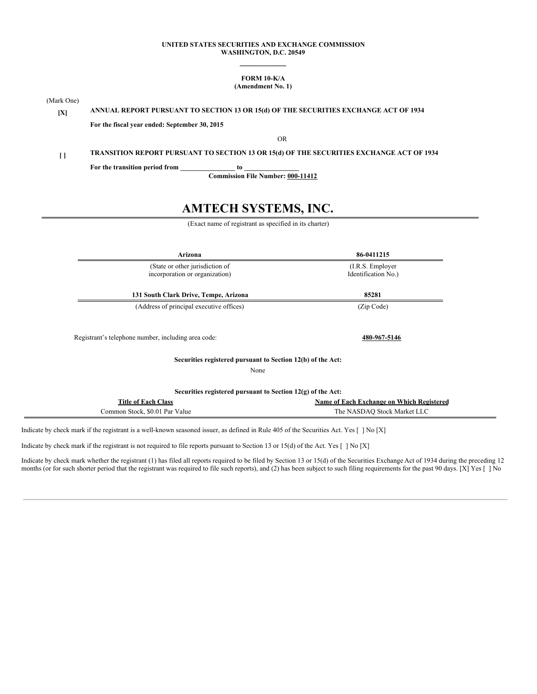## **UNITED STATES SECURITIES AND EXCHANGE COMMISSION WASHINGTON, D.C. 20549**

## **FORM 10-K/A (Amendment No. 1)**

(Mark One)

**[X] ANNUAL REPORT PURSUANT TO SECTION 13 OR 15(d) OF THE SECURITIES EXCHANGE ACT OF 1934 For the fiscal year ended: September 30, 2015**

OR

## **[ ] TRANSITION REPORT PURSUANT TO SECTION 13 OR 15(d) OF THE SECURITIES EXCHANGE ACT OF 1934 For the transition period from \_\_\_\_\_\_\_\_\_\_\_\_\_\_\_\_ to \_\_\_\_\_\_\_\_\_\_\_\_\_\_\_\_**

**Commission File Number: 000-11412**

# **AMTECH SYSTEMS, INC.**

(Exact name of registrant as specified in its charter)

| Arizona                                                           | 86-0411215                                       |
|-------------------------------------------------------------------|--------------------------------------------------|
| (State or other jurisdiction of<br>incorporation or organization) | (I.R.S. Employer)<br>Identification No.)         |
| 131 South Clark Drive, Tempe, Arizona                             | 85281                                            |
| (Address of principal executive offices)                          | (Zip Code)                                       |
| Registrant's telephone number, including area code:               | 480-967-5146                                     |
| Securities registered pursuant to Section 12(b) of the Act:       |                                                  |
| None                                                              |                                                  |
| Securities registered pursuant to Section $12(g)$ of the Act:     |                                                  |
| <b>Title of Each Class</b>                                        | <b>Name of Each Exchange on Which Registered</b> |
| Common Stock, \$0.01 Par Value                                    | The NASDAQ Stock Market LLC                      |

Indicate by check mark if the registrant is not required to file reports pursuant to Section 13 or 15(d) of the Act. Yes [ ] No [X]

Indicate by check mark whether the registrant (1) has filed all reports required to be filed by Section 13 or 15(d) of the Securities Exchange Act of 1934 during the preceding 12 months (or for such shorter period that the registrant was required to file such reports), and (2) has been subject to such filing requirements for the past 90 days. [X] Yes [] No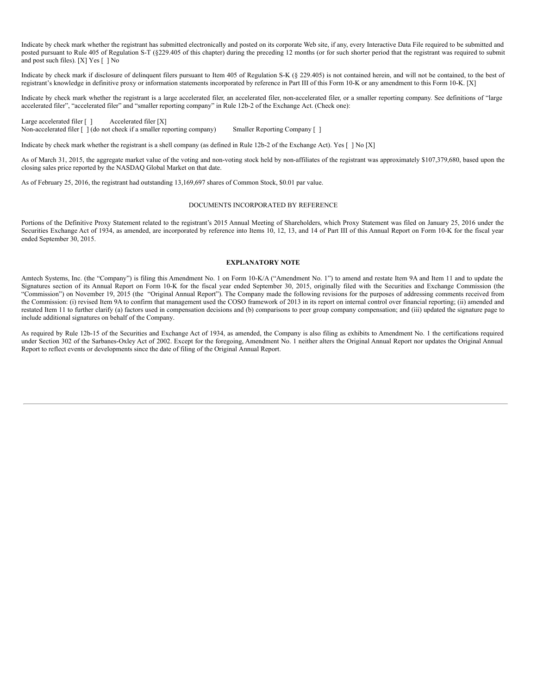Indicate by check mark whether the registrant has submitted electronically and posted on its corporate Web site, if any, every Interactive Data File required to be submitted and posted pursuant to Rule 405 of Regulation S-T (§229.405 of this chapter) during the preceding 12 months (or for such shorter period that the registrant was required to submit and post such files). [X] Yes [ ] No

Indicate by check mark if disclosure of delinquent filers pursuant to Item 405 of Regulation S-K (§ 229.405) is not contained herein, and will not be contained, to the best of registrant's knowledge in definitive proxy or information statements incorporated by reference in Part III of this Form 10-K or any amendment to this Form 10-K. [X]

Indicate by check mark whether the registrant is a large accelerated filer, an accelerated filer, non-accelerated filer, or a smaller reporting company. See definitions of "large accelerated filer", "accelerated filer" and "smaller reporting company" in Rule 12b-2 of the Exchange Act. (Check one):

Large accelerated filer [ ] Accelerated filer [X] Non-accelerated filer  $\lceil \cdot \rceil$  (do not check if a smaller reporting company) Smaller Reporting Company  $\lceil \cdot \rceil$ 

Indicate by check mark whether the registrant is a shell company (as defined in Rule 12b-2 of the Exchange Act). Yes [ ] No [X]

As of March 31, 2015, the aggregate market value of the voting and non-voting stock held by non-affiliates of the registrant was approximately \$107,379,680, based upon the closing sales price reported by the NASDAQ Global Market on that date.

As of February 25, 2016, the registrant had outstanding 13,169,697 shares of Common Stock, \$0.01 par value.

## DOCUMENTS INCORPORATED BY REFERENCE

Portions of the Definitive Proxy Statement related to the registrant's 2015 Annual Meeting of Shareholders, which Proxy Statement was filed on January 25, 2016 under the Securities Exchange Act of 1934, as amended, are incorporated by reference into Items 10, 12, 13, and 14 of Part III of this Annual Report on Form 10-K for the fiscal year ended September 30, 2015.

#### **EXPLANATORY NOTE**

Amtech Systems, Inc. (the "Company") is filing this Amendment No. 1 on Form 10-K/A ("Amendment No. 1") to amend and restate Item 9A and Item 11 and to update the Signatures section of its Annual Report on Form 10-K for the fiscal year ended September 30, 2015, originally filed with the Securities and Exchange Commission (the "Commission") on November 19, 2015 (the "Original Annual Report"). The Company made the following revisions for the purposes of addressing comments received from the Commission: (i) revised Item 9A to confirm that management used the COSO framework of 2013 in its report on internal control over financial reporting; (ii) amended and restated Item 11 to further clarify (a) factors used in compensation decisions and (b) comparisons to peer group company compensation; and (iii) updated the signature page to include additional signatures on behalf of the Company.

As required by Rule 12b-15 of the Securities and Exchange Act of 1934, as amended, the Company is also filing as exhibits to Amendment No. 1 the certifications required under Section 302 of the Sarbanes-Oxley Act of 2002. Except for the foregoing, Amendment No. 1 neither alters the Original Annual Report nor updates the Original Annual Report to reflect events or developments since the date of filing of the Original Annual Report.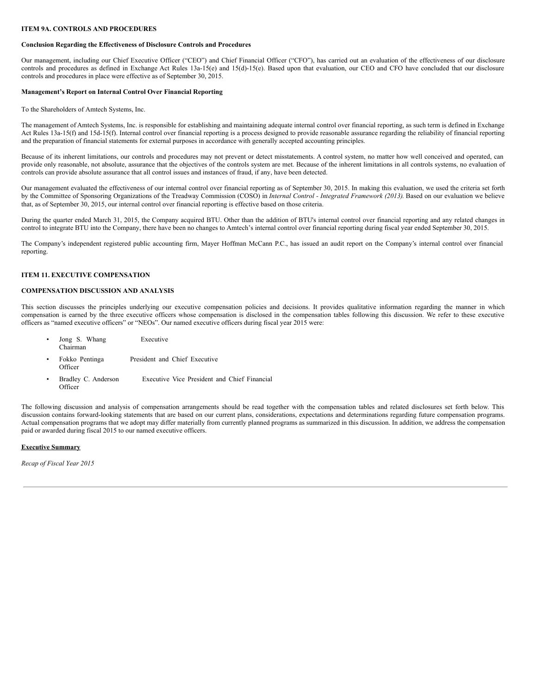## **ITEM 9A. CONTROLS AND PROCEDURES**

#### **Conclusion Regarding the Effectiveness of Disclosure Controls and Procedures**

Our management, including our Chief Executive Officer ("CEO") and Chief Financial Officer ("CFO"), has carried out an evaluation of the effectiveness of our disclosure controls and procedures as defined in Exchange Act Rules 13a-15(e) and 15(d)-15(e). Based upon that evaluation, our CEO and CFO have concluded that our disclosure controls and procedures in place were effective as of September 30, 2015.

## **Management's Report on Internal Control Over Financial Reporting**

To the Shareholders of Amtech Systems, Inc.

The management of Amtech Systems, Inc. is responsible for establishing and maintaining adequate internal control over financial reporting, as such term is defined in Exchange Act Rules 13a-15(f) and 15d-15(f). Internal control over financial reporting is a process designed to provide reasonable assurance regarding the reliability of financial reporting and the preparation of financial statements for external purposes in accordance with generally accepted accounting principles.

Because of its inherent limitations, our controls and procedures may not prevent or detect misstatements. A control system, no matter how well conceived and operated, can provide only reasonable, not absolute, assurance that the objectives of the controls system are met. Because of the inherent limitations in all controls systems, no evaluation of controls can provide absolute assurance that all control issues and instances of fraud, if any, have been detected.

Our management evaluated the effectiveness of our internal control over financial reporting as of September 30, 2015. In making this evaluation, we used the criteria set forth by the Committee of Sponsoring Organizations of the Treadway Commission (COSO) in *Internal Control - Integrated Framework (2013)*. Based on our evaluation we believe that, as of September 30, 2015, our internal control over financial reporting is effective based on those criteria.

During the quarter ended March 31, 2015, the Company acquired BTU. Other than the addition of BTU's internal control over financial reporting and any related changes in control to integrate BTU into the Company, there have been no changes to Amtech's internal control over financial reporting during fiscal year ended September 30, 2015.

The Company's independent registered public accounting firm, Mayer Hoffman McCann P.C., has issued an audit report on the Company's internal control over financial reporting.

## **ITEM 11. EXECUTIVE COMPENSATION**

## **COMPENSATION DISCUSSION AND ANALYSIS**

This section discusses the principles underlying our executive compensation policies and decisions. It provides qualitative information regarding the manner in which compensation is earned by the three executive officers whose compensation is disclosed in the compensation tables following this discussion. We refer to these executive officers as "named executive officers" or "NEOs". Our named executive officers during fiscal year 2015 were:

- Jong S. Whang Executive Chairman
- Fokko Pentinga President and Chief Executive **Officer**
- Bradley C. Anderson Executive Vice President and Chief Financial **Officer**

The following discussion and analysis of compensation arrangements should be read together with the compensation tables and related disclosures set forth below. This discussion contains forward-looking statements that are based on our current plans, considerations, expectations and determinations regarding future compensation programs. Actual compensation programs that we adopt may differ materially from currently planned programs as summarized in this discussion. In addition, we address the compensation paid or awarded during fiscal 2015 to our named executive officers.

## **Executive Summary**

*Recap of Fiscal Year 2015*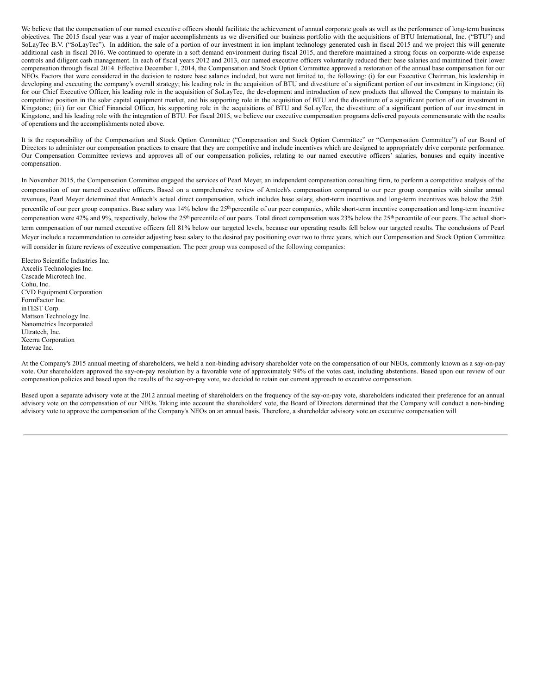We believe that the compensation of our named executive officers should facilitate the achievement of annual corporate goals as well as the performance of long-term business objectives. The 2015 fiscal year was a year of major accomplishments as we diversified our business portfolio with the acquisitions of BTU International, Inc. ("BTU") and SoLayTec B.V. ("SoLayTec"). In addition, the sale of a portion of our investment in ion implant technology generated cash in fiscal 2015 and we project this will generate additional cash in fiscal 2016. We continued to operate in a soft demand environment during fiscal 2015, and therefore maintained a strong focus on corporate-wide expense controls and diligent cash management. In each of fiscal years 2012 and 2013, our named executive officers voluntarily reduced their base salaries and maintained their lower compensation through fiscal 2014. Effective December 1, 2014, the Compensation and Stock Option Committee approved a restoration of the annual base compensation for our NEOs. Factors that were considered in the decision to restore base salaries included, but were not limited to, the following: (i) for our Executive Chairman, his leadership in developing and executing the company's overall strategy; his leading role in the acquisition of BTU and divestiture of a significant portion of our investment in Kingstone; (ii) for our Chief Executive Officer, his leading role in the acquisition of SoLayTec, the development and introduction of new products that allowed the Company to maintain its competitive position in the solar capital equipment market, and his supporting role in the acquisition of BTU and the divestiture of a significant portion of our investment in Kingstone; (iii) for our Chief Financial Officer, his supporting role in the acquisitions of BTU and SoLayTec, the divestiture of a significant portion of our investment in Kingstone, and his leading role with the integration of BTU. For fiscal 2015, we believe our executive compensation programs delivered payouts commensurate with the results of operations and the accomplishments noted above.

It is the responsibility of the Compensation and Stock Option Committee ("Compensation and Stock Option Committee" or "Compensation Committee") of our Board of Directors to administer our compensation practices to ensure that they are competitive and include incentives which are designed to appropriately drive corporate performance. Our Compensation Committee reviews and approves all of our compensation policies, relating to our named executive officers' salaries, bonuses and equity incentive compensation.

In November 2015, the Compensation Committee engaged the services of Pearl Meyer, an independent compensation consulting firm, to perform a competitive analysis of the compensation of our named executive officers. Based on a comprehensive review of Amtech's compensation compared to our peer group companies with similar annual revenues, Pearl Meyer determined that Amtech's actual direct compensation, which includes base salary, short-term incentives and long-term incentives was below the 25th percentile of our peer group companies. Base salary was 14% below the 25<sup>th</sup> percentile of our peer companies, while short-term incentive compensation and long-term incentive compensation were 42% and 9%, respectively, below the 25<sup>th</sup> percentile of our peers. Total direct compensation was 23% below the 25<sup>th</sup> percentile of our peers. The actual shortterm compensation of our named executive officers fell 81% below our targeted levels, because our operating results fell below our targeted results. The conclusions of Pearl Meyer include a recommendation to consider adjusting base salary to the desired pay positioning over two to three years, which our Compensation and Stock Option Committee will consider in future reviews of executive compensation. The peer group was composed of the following companies:

Electro Scientific Industries Inc. Axcelis Technologies Inc. Cascade Microtech Inc. Cohu, Inc. CVD Equipment Corporation FormFactor Inc. inTEST Corp. Mattson Technology Inc. Nanometrics Incorporated Ultratech, Inc. Xcerra Corporation Intevac Inc.

At the Company's 2015 annual meeting of shareholders, we held a non-binding advisory shareholder vote on the compensation of our NEOs, commonly known as a say-on-pay vote. Our shareholders approved the say-on-pay resolution by a favorable vote of approximately 94% of the votes cast, including abstentions. Based upon our review of our compensation policies and based upon the results of the say-on-pay vote, we decided to retain our current approach to executive compensation.

Based upon a separate advisory vote at the 2012 annual meeting of shareholders on the frequency of the say-on-pay vote, shareholders indicated their preference for an annual advisory vote on the compensation of our NEOs. Taking into account the shareholders' vote, the Board of Directors determined that the Company will conduct a non-binding advisory vote to approve the compensation of the Company's NEOs on an annual basis. Therefore, a shareholder advisory vote on executive compensation will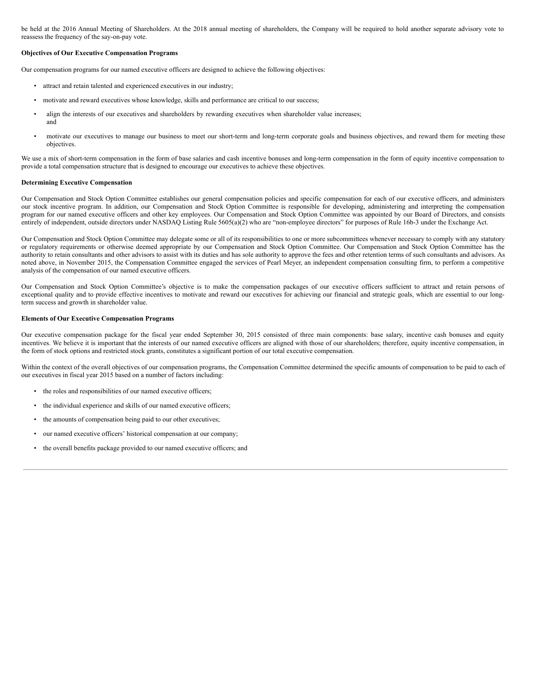be held at the 2016 Annual Meeting of Shareholders. At the 2018 annual meeting of shareholders, the Company will be required to hold another separate advisory vote to reassess the frequency of the say-on-pay vote.

## **Objectives of Our Executive Compensation Programs**

Our compensation programs for our named executive officers are designed to achieve the following objectives:

- attract and retain talented and experienced executives in our industry;
- motivate and reward executives whose knowledge, skills and performance are critical to our success;
- align the interests of our executives and shareholders by rewarding executives when shareholder value increases; and
- motivate our executives to manage our business to meet our short-term and long-term corporate goals and business objectives, and reward them for meeting these objectives.

We use a mix of short-term compensation in the form of base salaries and cash incentive bonuses and long-term compensation in the form of equity incentive compensation to provide a total compensation structure that is designed to encourage our executives to achieve these objectives.

## **Determining Executive Compensation**

Our Compensation and Stock Option Committee establishes our general compensation policies and specific compensation for each of our executive officers, and administers our stock incentive program. In addition, our Compensation and Stock Option Committee is responsible for developing, administering and interpreting the compensation program for our named executive officers and other key employees. Our Compensation and Stock Option Committee was appointed by our Board of Directors, and consists entirely of independent, outside directors under NASDAQ Listing Rule 5605(a)(2) who are "non-employee directors" for purposes of Rule 16b-3 under the Exchange Act.

Our Compensation and Stock Option Committee may delegate some or all of its responsibilities to one or more subcommittees whenever necessary to comply with any statutory or regulatory requirements or otherwise deemed appropriate by our Compensation and Stock Option Committee. Our Compensation and Stock Option Committee has the authority to retain consultants and other advisors to assist with its duties and has sole authority to approve the fees and other retention terms of such consultants and advisors. As noted above, in November 2015, the Compensation Committee engaged the services of Pearl Meyer, an independent compensation consulting firm, to perform a competitive analysis of the compensation of our named executive officers.

Our Compensation and Stock Option Committee's objective is to make the compensation packages of our executive officers sufficient to attract and retain persons of exceptional quality and to provide effective incentives to motivate and reward our executives for achieving our financial and strategic goals, which are essential to our longterm success and growth in shareholder value.

#### **Elements of Our Executive Compensation Programs**

Our executive compensation package for the fiscal year ended September 30, 2015 consisted of three main components: base salary, incentive cash bonuses and equity incentives. We believe it is important that the interests of our named executive officers are aligned with those of our shareholders; therefore, equity incentive compensation, in the form of stock options and restricted stock grants, constitutes a significant portion of our total executive compensation.

Within the context of the overall objectives of our compensation programs, the Compensation Committee determined the specific amounts of compensation to be paid to each of our executives in fiscal year 2015 based on a number of factors including:

- the roles and responsibilities of our named executive officers;
- the individual experience and skills of our named executive officers;
- the amounts of compensation being paid to our other executives;
- our named executive officers' historical compensation at our company;
- the overall benefits package provided to our named executive officers; and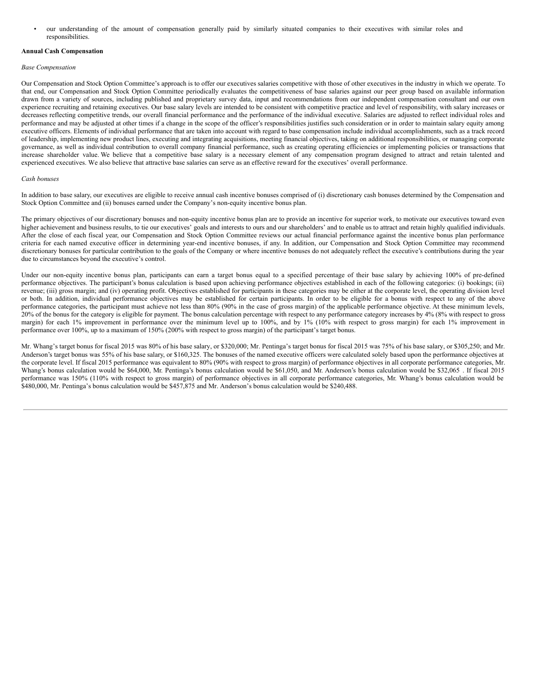• our understanding of the amount of compensation generally paid by similarly situated companies to their executives with similar roles and responsibilities.

#### **Annual Cash Compensation**

### *Base Compensation*

Our Compensation and Stock Option Committee's approach is to offer our executives salaries competitive with those of other executives in the industry in which we operate. To that end, our Compensation and Stock Option Committee periodically evaluates the competitiveness of base salaries against our peer group based on available information drawn from a variety of sources, including published and proprietary survey data, input and recommendations from our independent compensation consultant and our own experience recruiting and retaining executives. Our base salary levels are intended to be consistent with competitive practice and level of responsibility, with salary increases or decreases reflecting competitive trends, our overall financial performance and the performance of the individual executive. Salaries are adjusted to reflect individual roles and performance and may be adjusted at other times if a change in the scope of the officer's responsibilities justifies such consideration or in order to maintain salary equity among executive officers. Elements of individual performance that are taken into account with regard to base compensation include individual accomplishments, such as a track record of leadership, implementing new product lines, executing and integrating acquisitions, meeting financial objectives, taking on additional responsibilities, or managing corporate governance, as well as individual contribution to overall company financial performance, such as creating operating efficiencies or implementing policies or transactions that increase shareholder value. We believe that a competitive base salary is a necessary element of any compensation program designed to attract and retain talented and experienced executives. We also believe that attractive base salaries can serve as an effective reward for the executives' overall performance.

#### *Cash bonuses*

In addition to base salary, our executives are eligible to receive annual cash incentive bonuses comprised of (i) discretionary cash bonuses determined by the Compensation and Stock Option Committee and (ii) bonuses earned under the Company's non-equity incentive bonus plan.

The primary objectives of our discretionary bonuses and non-equity incentive bonus plan are to provide an incentive for superior work, to motivate our executives toward even higher achievement and business results, to tie our executives' goals and interests to ours and our shareholders' and to enable us to attract and retain highly qualified individuals. After the close of each fiscal year, our Compensation and Stock Option Committee reviews our actual financial performance against the incentive bonus plan performance criteria for each named executive officer in determining year-end incentive bonuses, if any. In addition, our Compensation and Stock Option Committee may recommend discretionary bonuses for particular contribution to the goals of the Company or where incentive bonuses do not adequately reflect the executive's contributions during the year due to circumstances beyond the executive's control.

Under our non-equity incentive bonus plan, participants can earn a target bonus equal to a specified percentage of their base salary by achieving 100% of pre-defined performance objectives. The participant's bonus calculation is based upon achieving performance objectives established in each of the following categories: (i) bookings; (ii) revenue; (iii) gross margin; and (iv) operating profit. Objectives established for participants in these categories may be either at the corporate level, the operating division level or both. In addition, individual performance objectives may be established for certain participants. In order to be eligible for a bonus with respect to any of the above performance categories, the participant must achieve not less than 80% (90% in the case of gross margin) of the applicable performance objective. At these minimum levels, 20% of the bonus for the category is eligible for payment. The bonus calculation percentage with respect to any performance category increases by 4% (8% with respect to gross margin) for each 1% improvement in performance over the minimum level up to 100%, and by 1% (10% with respect to gross margin) for each 1% improvement in performance over 100%, up to a maximum of 150% (200% with respect to gross margin) of the participant's target bonus.

Mr. Whang's target bonus for fiscal 2015 was 80% of his base salary, or \$320,000; Mr. Pentinga's target bonus for fiscal 2015 was 75% of his base salary, or \$305,250; and Mr. Anderson's target bonus was 55% of his base salary, or \$160,325. The bonuses of the named executive officers were calculated solely based upon the performance objectives at the corporate level. If fiscal 2015 performance was equivalent to 80% (90% with respect to gross margin) of performance objectives in all corporate performance categories, Mr. Whang's bonus calculation would be \$64,000, Mr. Pentinga's bonus calculation would be \$61,050, and Mr. Anderson's bonus calculation would be \$32,065 . If fiscal 2015 performance was 150% (110% with respect to gross margin) of performance objectives in all corporate performance categories, Mr. Whang's bonus calculation would be \$480,000, Mr. Pentinga's bonus calculation would be \$457,875 and Mr. Anderson's bonus calculation would be \$240,488.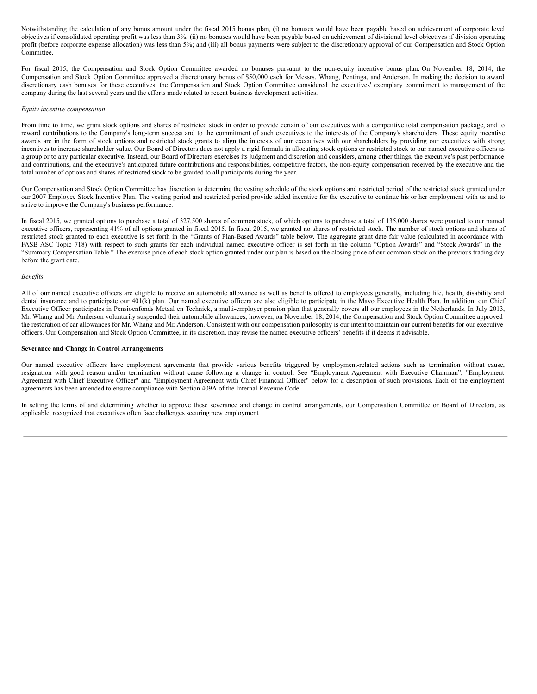Notwithstanding the calculation of any bonus amount under the fiscal 2015 bonus plan, (i) no bonuses would have been payable based on achievement of corporate level objectives if consolidated operating profit was less than 3%; (ii) no bonuses would have been payable based on achievement of divisional level objectives if division operating profit (before corporate expense allocation) was less than 5%; and (iii) all bonus payments were subject to the discretionary approval of our Compensation and Stock Option Committee.

For fiscal 2015, the Compensation and Stock Option Committee awarded no bonuses pursuant to the non-equity incentive bonus plan. On November 18, 2014, the Compensation and Stock Option Committee approved a discretionary bonus of \$50,000 each for Messrs. Whang, Pentinga, and Anderson. In making the decision to award discretionary cash bonuses for these executives, the Compensation and Stock Option Committee considered the executives' exemplary commitment to management of the company during the last several years and the efforts made related to recent business development activities.

#### *Equity incentive compensation*

From time to time, we grant stock options and shares of restricted stock in order to provide certain of our executives with a competitive total compensation package, and to reward contributions to the Company's long-term success and to the commitment of such executives to the interests of the Company's shareholders. These equity incentive awards are in the form of stock options and restricted stock grants to align the interests of our executives with our shareholders by providing our executives with strong incentives to increase shareholder value. Our Board of Directors does not apply a rigid formula in allocating stock options or restricted stock to our named executive officers as a group or to any particular executive. Instead, our Board of Directors exercises its judgment and discretion and considers, among other things, the executive's past performance and contributions, and the executive's anticipated future contributions and responsibilities, competitive factors, the non-equity compensation received by the executive and the total number of options and shares of restricted stock to be granted to all participants during the year.

Our Compensation and Stock Option Committee has discretion to determine the vesting schedule of the stock options and restricted period of the restricted stock granted under our 2007 Employee Stock Incentive Plan. The vesting period and restricted period provide added incentive for the executive to continue his or her employment with us and to strive to improve the Company's business performance.

In fiscal 2015, we granted options to purchase a total of 327,500 shares of common stock, of which options to purchase a total of 135,000 shares were granted to our named executive officers, representing 41% of all options granted in fiscal 2015. In fiscal 2015, we granted no shares of restricted stock. The number of stock options and shares of restricted stock granted to each executive is set forth in the "Grants of Plan-Based Awards" table below. The aggregate grant date fair value (calculated in accordance with FASB ASC Topic 718) with respect to such grants for each individual named executive officer is set forth in the column "Option Awards" and "Stock Awards" in the "Summary Compensation Table." The exercise price of each stock option granted under our plan is based on the closing price of our common stock on the previous trading day before the grant date.

#### *Benefits*

All of our named executive officers are eligible to receive an automobile allowance as well as benefits offered to employees generally, including life, health, disability and dental insurance and to participate our 401(k) plan. Our named executive officers are also eligible to participate in the Mayo Executive Health Plan. In addition, our Chief Executive Officer participates in Pensioenfonds Metaal en Techniek, a multi-employer pension plan that generally covers all our employees in the Netherlands. In July 2013, Mr. Whang and Mr. Anderson voluntarily suspended their automobile allowances; however, on November 18, 2014, the Compensation and Stock Option Committee approved the restoration of car allowances for Mr. Whang and Mr. Anderson. Consistent with our compensation philosophy is our intent to maintain our current benefits for our executive officers. Our Compensation and Stock Option Committee, in its discretion, may revise the named executive officers' benefits if it deems it advisable.

#### **Severance and Change in Control Arrangements**

Our named executive officers have employment agreements that provide various benefits triggered by employment-related actions such as termination without cause, resignation with good reason and/or termination without cause following a change in control. See "Employment Agreement with Executive Chairman", "Employment Agreement with Chief Executive Officer" and "Employment Agreement with Chief Financial Officer" below for a description of such provisions. Each of the employment agreements has been amended to ensure compliance with Section 409A of the Internal Revenue Code.

In setting the terms of and determining whether to approve these severance and change in control arrangements, our Compensation Committee or Board of Directors, as applicable, recognized that executives often face challenges securing new employment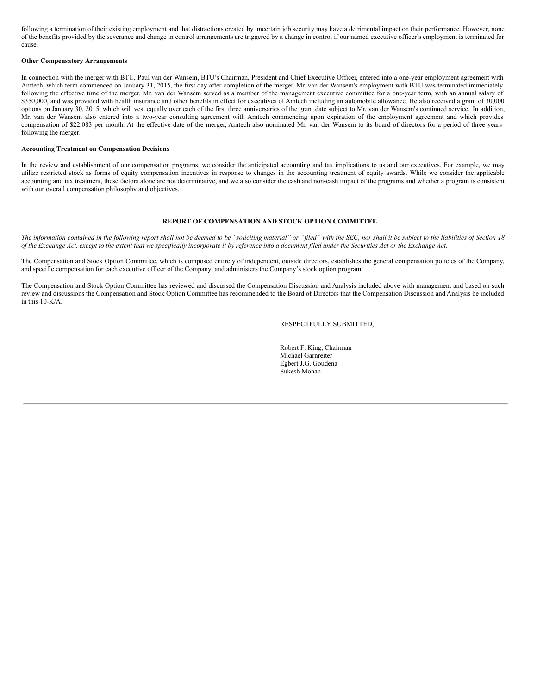following a termination of their existing employment and that distractions created by uncertain job security may have a detrimental impact on their performance. However, none of the benefits provided by the severance and change in control arrangements are triggered by a change in control if our named executive officer's employment is terminated for cause.

#### **Other Compensatory Arrangements**

In connection with the merger with BTU, Paul van der Wansem, BTU's Chairman, President and Chief Executive Officer, entered into a one-year employment agreement with Amtech, which term commenced on January 31, 2015, the first day after completion of the merger. Mr. van der Wansem's employment with BTU was terminated immediately following the effective time of the merger. Mr. van der Wansem served as a member of the management executive committee for a one-year term, with an annual salary of \$350,000, and was provided with health insurance and other benefits in effect for executives of Amtech including an automobile allowance. He also received a grant of 30,000 options on January 30, 2015, which will vest equally over each of the first three anniversaries of the grant date subject to Mr. van der Wansem's continued service. In addition, Mr. van der Wansem also entered into a two-year consulting agreement with Amtech commencing upon expiration of the employment agreement and which provides compensation of \$22,083 per month. At the effective date of the merger, Amtech also nominated Mr. van der Wansem to its board of directors for a period of three years following the merger.

#### **Accounting Treatment on Compensation Decisions**

In the review and establishment of our compensation programs, we consider the anticipated accounting and tax implications to us and our executives. For example, we may utilize restricted stock as forms of equity compensation incentives in response to changes in the accounting treatment of equity awards. While we consider the applicable accounting and tax treatment, these factors alone are not determinative, and we also consider the cash and non-cash impact of the programs and whether a program is consistent with our overall compensation philosophy and objectives.

#### **REPORT OF COMPENSATION AND STOCK OPTION COMMITTEE**

The information contained in the following report shall not be deemed to be "soliciting material" or "filed" with the SEC, nor shall it be subject to the liabilities of Section 18 of the Exchange Act, except to the extent that we specifically incorporate it by reference into a document filed under the Securities Act or the Exchange Act.

The Compensation and Stock Option Committee, which is composed entirely of independent, outside directors, establishes the general compensation policies of the Company, and specific compensation for each executive officer of the Company, and administers the Company's stock option program.

The Compensation and Stock Option Committee has reviewed and discussed the Compensation Discussion and Analysis included above with management and based on such review and discussions the Compensation and Stock Option Committee has recommended to the Board of Directors that the Compensation Discussion and Analysis be included in this 10-K/A.

RESPECTFULLY SUBMITTED,

Robert F. King, Chairman Michael Garnreiter Egbert J.G. Goudena Sukesh Mohan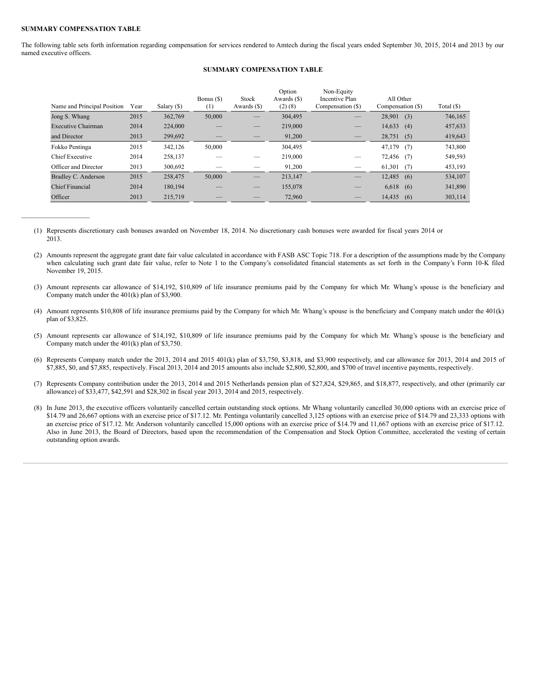## **SUMMARY COMPENSATION TABLE**

 $\mathcal{L}=\mathcal{L}=\mathcal{L}=\mathcal{L}=\mathcal{L}=\mathcal{L}=\mathcal{L}=\mathcal{L}=\mathcal{L}=\mathcal{L}=\mathcal{L}=\mathcal{L}=\mathcal{L}=\mathcal{L}=\mathcal{L}=\mathcal{L}=\mathcal{L}=\mathcal{L}=\mathcal{L}=\mathcal{L}=\mathcal{L}=\mathcal{L}=\mathcal{L}=\mathcal{L}=\mathcal{L}=\mathcal{L}=\mathcal{L}=\mathcal{L}=\mathcal{L}=\mathcal{L}=\mathcal{L}=\mathcal{L}=\mathcal{L}=\mathcal{L}=\mathcal{L}=\mathcal{L}=\mathcal{$ 

The following table sets forth information regarding compensation for services rendered to Amtech during the fiscal years ended September 30, 2015, 2014 and 2013 by our named executive officers.

## **SUMMARY COMPENSATION TABLE**

|                             |      |             | Bonus $(\$)$ | Stock             | Option<br>Awards $(S)$ | Non-Equity<br>Incentive Plan | All Other         |              |
|-----------------------------|------|-------------|--------------|-------------------|------------------------|------------------------------|-------------------|--------------|
| Name and Principal Position | Year | Salary (\$) | $^{(1)}$     | Awards (\$)       | (2)(8)                 | Compensation (\$)            | Compensation (\$) | Total $(\$)$ |
| Jong S. Whang               | 2015 | 362,769     | 50,000       |                   | 304,495                |                              | 28,901<br>(3)     | 746,165      |
| Executive Chairman          | 2014 | 224,000     |              |                   | 219,000                |                              | 14,633<br>(4)     | 457,633      |
| and Director                | 2013 | 299,692     |              |                   | 91,200                 |                              | 28,751<br>(5)     | 419,643      |
| Fokko Pentinga              | 2015 | 342,126     | 50,000       |                   | 304,495                |                              | 47,179<br>(7)     | 743,800      |
| Chief Executive             | 2014 | 258.137     |              |                   | 219,000                |                              | $72,456$ (7)      | 549,593      |
| Officer and Director        | 2013 | 300,692     |              |                   | 91,200                 |                              | 61,301<br>(7)     | 453,193      |
| Bradley C. Anderson         | 2015 | 258,475     | 50,000       | $\qquad \qquad -$ | 213,147                | $\qquad \qquad -$            | 12,485<br>(6)     | 534,107      |
| <b>Chief Financial</b>      | 2014 | 180.194     |              |                   | 155,078                |                              | $6,618$ (6)       | 341,890      |
| Officer                     | 2013 | 215,719     |              |                   | 72,960                 |                              | 14,435<br>(6)     | 303,114      |

(1) Represents discretionary cash bonuses awarded on November 18, 2014. No discretionary cash bonuses were awarded for fiscal years 2014 or 2013.

(2) Amounts represent the aggregate grant date fair value calculated in accordance with FASB ASC Topic 718. For a description of the assumptions made by the Company when calculating such grant date fair value, refer to Note 1 to the Company's consolidated financial statements as set forth in the Company's Form 10-K filed November 19, 2015.

(3) Amount represents car allowance of \$14,192, \$10,809 of life insurance premiums paid by the Company for which Mr. Whang's spouse is the beneficiary and Company match under the 401(k) plan of \$3,900.

(4) Amount represents \$10,808 of life insurance premiums paid by the Company for which Mr. Whang's spouse is the beneficiary and Company match under the 401(k) plan of \$3,825.

(5) Amount represents car allowance of \$14,192, \$10,809 of life insurance premiums paid by the Company for which Mr. Whang's spouse is the beneficiary and Company match under the 401(k) plan of \$3,750.

(6) Represents Company match under the 2013, 2014 and 2015 401(k) plan of \$3,750, \$3,818, and \$3,900 respectively, and car allowance for 2013, 2014 and 2015 of \$7,885, \$0, and \$7,885, respectively. Fiscal 2013, 2014 and 2015 amounts also include \$2,800, \$2,800, and \$700 of travel incentive payments, respectively.

(7) Represents Company contribution under the 2013, 2014 and 2015 Netherlands pension plan of \$27,824, \$29,865, and \$18,877, respectively, and other (primarily car allowance) of \$33,477, \$42,591 and \$28,302 in fiscal year 2013, 2014 and 2015, respectively.

(8) In June 2013, the executive officers voluntarily cancelled certain outstanding stock options. Mr Whang voluntarily cancelled 30,000 options with an exercise price of \$14.79 and 26,667 options with an exercise price of \$17.12. Mr. Pentinga voluntarily cancelled 3,125 options with an exercise price of \$14.79 and 23,333 options with an exercise price of \$17.12. Mr. Anderson voluntarily cancelled 15,000 options with an exercise price of \$14.79 and 11,667 options with an exercise price of \$17.12. Also in June 2013, the Board of Directors, based upon the recommendation of the Compensation and Stock Option Committee, accelerated the vesting of certain outstanding option awards.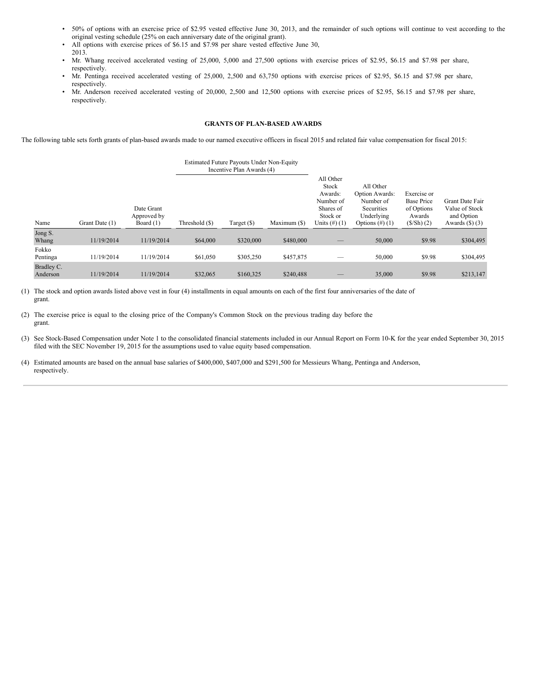- 50% of options with an exercise price of \$2.95 vested effective June 30, 2013, and the remainder of such options will continue to vest according to the original vesting schedule (25% on each anniversary date of the original grant).
- All options with exercise prices of \$6.15 and \$7.98 per share vested effective June 30, 2013.
- Mr. Whang received accelerated vesting of 25,000, 5,000 and 27,500 options with exercise prices of \$2.95, \$6.15 and \$7.98 per share, respectively.
- Mr. Pentinga received accelerated vesting of 25,000, 2,500 and 63,750 options with exercise prices of \$2.95, \$6.15 and \$7.98 per share, respectively.
- Mr. Anderson received accelerated vesting of 20,000, 2,500 and 12,500 options with exercise prices of \$2.95, \$6.15 and \$7.98 per share, respectively.

## **GRANTS OF PLAN-BASED AWARDS**

The following table sets forth grants of plan-based awards made to our named executive officers in fiscal 2015 and related fair value compensation for fiscal 2015:

|                        |                |                                          | <b>Estimated Future Payouts Under Non-Equity</b><br>Incentive Plan Awards (4) |             |              |                                                                                        |                                                                                           |                                                                          |                                                                         |
|------------------------|----------------|------------------------------------------|-------------------------------------------------------------------------------|-------------|--------------|----------------------------------------------------------------------------------------|-------------------------------------------------------------------------------------------|--------------------------------------------------------------------------|-------------------------------------------------------------------------|
| Name                   | Grant Date (1) | Date Grant<br>Approved by<br>Board $(1)$ | Threshold (\$)                                                                | Target (\$) | Maximum (\$) | All Other<br>Stock<br>Awards:<br>Number of<br>Shares of<br>Stock or<br>Units $(\#)(1)$ | All Other<br>Option Awards:<br>Number of<br>Securities<br>Underlying<br>Options $(\#)(1)$ | Exercise or<br><b>Base Price</b><br>of Options<br>Awards<br>$(S/Sh)$ (2) | Grant Date Fair<br>Value of Stock<br>and Option<br>Awards $(\$)$ $(\$)$ |
| Jong S.<br>Whang       | 11/19/2014     | 11/19/2014                               | \$64,000                                                                      | \$320,000   | \$480,000    |                                                                                        | 50,000                                                                                    | \$9.98                                                                   | \$304,495                                                               |
| Fokko<br>Pentinga      | 11/19/2014     | 11/19/2014                               | \$61,050                                                                      | \$305,250   | \$457,875    |                                                                                        | 50,000                                                                                    | \$9.98                                                                   | \$304,495                                                               |
| Bradley C.<br>Anderson | 11/19/2014     | 11/19/2014                               | \$32,065                                                                      | \$160,325   | \$240,488    |                                                                                        | 35,000                                                                                    | \$9.98                                                                   | \$213,147                                                               |

(1) The stock and option awards listed above vest in four (4) installments in equal amounts on each of the first four anniversaries of the date of grant.

(2) The exercise price is equal to the closing price of the Company's Common Stock on the previous trading day before the grant.

- (3) See Stock-Based Compensation under Note 1 to the consolidated financial statements included in our Annual Report on Form 10-K for the year ended September 30, 2015 filed with the SEC November 19, 2015 for the assumptions used to value equity based compensation.
- (4) Estimated amounts are based on the annual base salaries of \$400,000, \$407,000 and \$291,500 for Messieurs Whang, Pentinga and Anderson, respectively.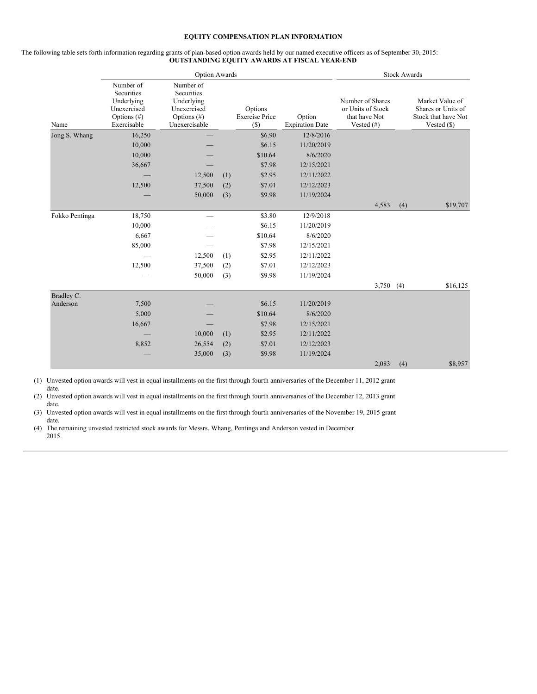### **EQUITY COMPENSATION PLAN INFORMATION**

## The following table sets forth information regarding grants of plan-based option awards held by our named executive officers as of September 30, 2015: **OUTSTANDING EQUITY AWARDS AT FISCAL YEAR-END**

|                | <b>Option Awards</b>                                                                  |                                                                                         |     |                                            |                                  | <b>Stock Awards</b>                                                     |     |                                                                              |
|----------------|---------------------------------------------------------------------------------------|-----------------------------------------------------------------------------------------|-----|--------------------------------------------|----------------------------------|-------------------------------------------------------------------------|-----|------------------------------------------------------------------------------|
| Name           | Number of<br>Securities<br>Underlying<br>Unexercised<br>Options $(\#)$<br>Exercisable | Number of<br>Securities<br>Underlying<br>Unexercised<br>Options $(\#)$<br>Unexercisable |     | Options<br><b>Exercise Price</b><br>$(\$)$ | Option<br><b>Expiration Date</b> | Number of Shares<br>or Units of Stock<br>that have Not<br>Vested $(\#)$ |     | Market Value of<br>Shares or Units of<br>Stock that have Not<br>Vested $($ ) |
| Jong S. Whang  | 16,250                                                                                |                                                                                         |     | \$6.90                                     | 12/8/2016                        |                                                                         |     |                                                                              |
|                | 10,000                                                                                |                                                                                         |     | \$6.15                                     | 11/20/2019                       |                                                                         |     |                                                                              |
|                | 10,000                                                                                |                                                                                         |     | \$10.64                                    | 8/6/2020                         |                                                                         |     |                                                                              |
|                | 36,667                                                                                |                                                                                         |     | \$7.98                                     | 12/15/2021                       |                                                                         |     |                                                                              |
|                |                                                                                       | 12,500                                                                                  | (1) | \$2.95                                     | 12/11/2022                       |                                                                         |     |                                                                              |
|                | 12,500                                                                                | 37,500                                                                                  | (2) | \$7.01                                     | 12/12/2023                       |                                                                         |     |                                                                              |
|                |                                                                                       | 50,000                                                                                  | (3) | \$9.98                                     | 11/19/2024                       |                                                                         |     |                                                                              |
|                |                                                                                       |                                                                                         |     |                                            |                                  | 4,583                                                                   | (4) | \$19,707                                                                     |
| Fokko Pentinga | 18,750                                                                                |                                                                                         |     | \$3.80                                     | 12/9/2018                        |                                                                         |     |                                                                              |
|                | 10,000                                                                                |                                                                                         |     | \$6.15                                     | 11/20/2019                       |                                                                         |     |                                                                              |
|                | 6,667                                                                                 |                                                                                         |     | \$10.64                                    | 8/6/2020                         |                                                                         |     |                                                                              |
|                | 85,000                                                                                |                                                                                         |     | \$7.98                                     | 12/15/2021                       |                                                                         |     |                                                                              |
|                |                                                                                       | 12,500                                                                                  | (1) | \$2.95                                     | 12/11/2022                       |                                                                         |     |                                                                              |
|                | 12,500                                                                                | 37,500                                                                                  | (2) | \$7.01                                     | 12/12/2023                       |                                                                         |     |                                                                              |
|                |                                                                                       | 50,000                                                                                  | (3) | \$9.98                                     | 11/19/2024                       |                                                                         |     |                                                                              |
|                |                                                                                       |                                                                                         |     |                                            |                                  | 3,750                                                                   | (4) | \$16,125                                                                     |
| Bradley C.     |                                                                                       |                                                                                         |     |                                            |                                  |                                                                         |     |                                                                              |
| Anderson       | 7,500                                                                                 |                                                                                         |     | \$6.15                                     | 11/20/2019                       |                                                                         |     |                                                                              |
|                | 5,000                                                                                 |                                                                                         |     | \$10.64                                    | 8/6/2020                         |                                                                         |     |                                                                              |
|                | 16,667                                                                                |                                                                                         |     | \$7.98                                     | 12/15/2021                       |                                                                         |     |                                                                              |
|                |                                                                                       | 10,000                                                                                  | (1) | \$2.95                                     | 12/11/2022                       |                                                                         |     |                                                                              |
|                | 8,852                                                                                 | 26,554                                                                                  | (2) | \$7.01                                     | 12/12/2023                       |                                                                         |     |                                                                              |
|                |                                                                                       | 35,000                                                                                  | (3) | \$9.98                                     | 11/19/2024                       |                                                                         |     |                                                                              |
|                |                                                                                       |                                                                                         |     |                                            |                                  | 2,083                                                                   | (4) | \$8,957                                                                      |

(1) Unvested option awards will vest in equal installments on the first through fourth anniversaries of the December 11, 2012 grant date.

(2) Unvested option awards will vest in equal installments on the first through fourth anniversaries of the December 12, 2013 grant

date. (3) Unvested option awards will vest in equal installments on the first through fourth anniversaries of the November 19, 2015 grant date.

(4) The remaining unvested restricted stock awards for Messrs. Whang, Pentinga and Anderson vested in December 2015.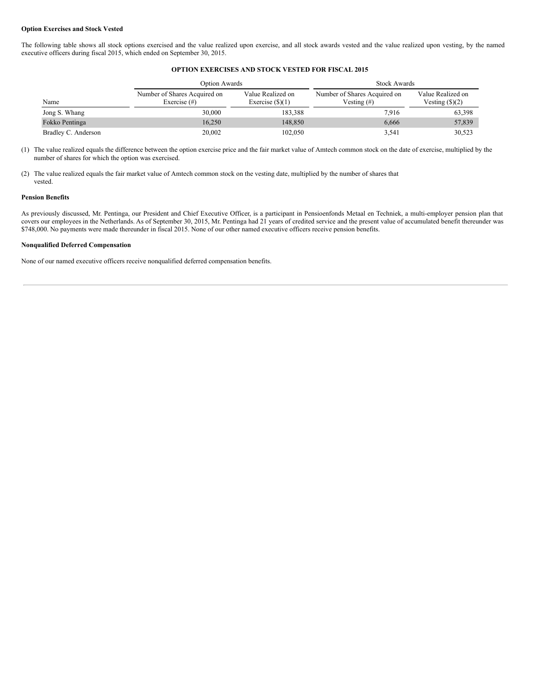## **Option Exercises and Stock Vested**

The following table shows all stock options exercised and the value realized upon exercise, and all stock awards vested and the value realized upon vesting, by the named executive officers during fiscal 2015, which ended on September 30, 2015.

|                     | <b>Option Awards</b>                            |                                         | <b>Stock Awards</b>                            |                                               |  |
|---------------------|-------------------------------------------------|-----------------------------------------|------------------------------------------------|-----------------------------------------------|--|
| Name                | Number of Shares Acquired on<br>Exercise $(\#)$ | Value Realized on<br>Exercise $(\$)(1)$ | Number of Shares Acquired on<br>Vesting $(\#)$ | Value Realized on<br>Vesting $(\text{\$})(2)$ |  |
| Jong S. Whang       | 30,000                                          | 183.388                                 | 7.916                                          | 63,398                                        |  |
| Fokko Pentinga      | 16.250                                          | 148,850                                 | 6.666                                          | 57,839                                        |  |
| Bradley C. Anderson | 20,002                                          | 102,050                                 | 3.541                                          | 30,523                                        |  |

## **OPTION EXERCISES AND STOCK VESTED FOR FISCAL 2015**

(1) The value realized equals the difference between the option exercise price and the fair market value of Amtech common stock on the date of exercise, multiplied by the number of shares for which the option was exercised.

(2) The value realized equals the fair market value of Amtech common stock on the vesting date, multiplied by the number of shares that vested.

## **Pension Benefits**

As previously discussed, Mr. Pentinga, our President and Chief Executive Officer, is a participant in Pensioenfonds Metaal en Techniek, a multi-employer pension plan that covers our employees in the Netherlands. As of September 30, 2015, Mr. Pentinga had 21 years of credited service and the present value of accumulated benefit thereunder was \$748,000. No payments were made thereunder in fiscal 2015. None of our other named executive officers receive pension benefits.

## **Nonqualified Deferred Compensation**

None of our named executive officers receive nonqualified deferred compensation benefits.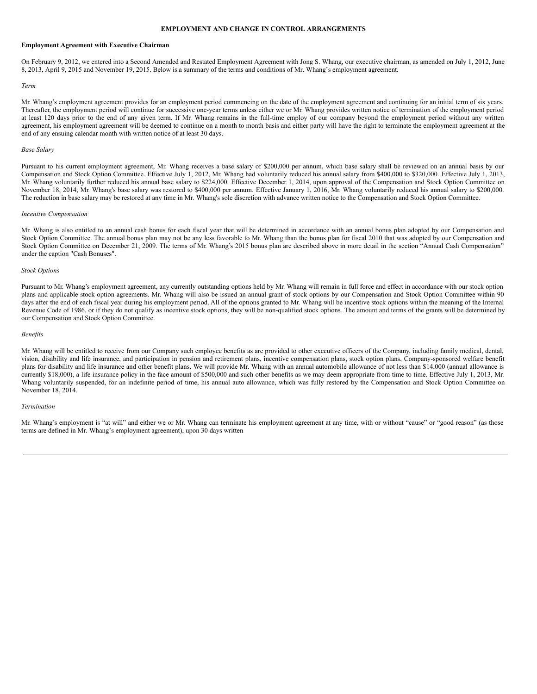## **EMPLOYMENT AND CHANGE IN CONTROL ARRANGEMENTS**

## **Employment Agreement with Executive Chairman**

On February 9, 2012, we entered into a Second Amended and Restated Employment Agreement with Jong S. Whang, our executive chairman, as amended on July 1, 2012, June 8, 2013, April 9, 2015 and November 19, 2015. Below is a summary of the terms and conditions of Mr. Whang's employment agreement.

#### *Term*

Mr. Whang's employment agreement provides for an employment period commencing on the date of the employment agreement and continuing for an initial term of six years. Thereafter, the employment period will continue for successive one-year terms unless either we or Mr. Whang provides written notice of termination of the employment period at least 120 days prior to the end of any given term. If Mr. Whang remains in the full-time employ of our company beyond the employment period without any written agreement, his employment agreement will be deemed to continue on a month to month basis and either party will have the right to terminate the employment agreement at the end of any ensuing calendar month with written notice of at least 30 days.

#### *Base Salary*

Pursuant to his current employment agreement, Mr. Whang receives a base salary of \$200,000 per annum, which base salary shall be reviewed on an annual basis by our Compensation and Stock Option Committee. Effective July 1, 2012, Mr. Whang had voluntarily reduced his annual salary from \$400,000 to \$320,000. Effective July 1, 2013, Mr. Whang voluntarily further reduced his annual base salary to \$224,000. Effective December 1, 2014, upon approval of the Compensation and Stock Option Committee on November 18, 2014, Mr. Whang's base salary was restored to \$400,000 per annum. Effective January 1, 2016, Mr. Whang voluntarily reduced his annual salary to \$200,000. The reduction in base salary may be restored at any time in Mr. Whang's sole discretion with advance written notice to the Compensation and Stock Option Committee.

#### *Incentive Compensation*

Mr. Whang is also entitled to an annual cash bonus for each fiscal year that will be determined in accordance with an annual bonus plan adopted by our Compensation and Stock Option Committee. The annual bonus plan may not be any less favorable to Mr. Whang than the bonus plan for fiscal 2010 that was adopted by our Compensation and Stock Option Committee on December 21, 2009. The terms of Mr. Whang's 2015 bonus plan are described above in more detail in the section "Annual Cash Compensation" under the caption "Cash Bonuses".

#### *Stock Options*

Pursuant to Mr. Whang's employment agreement, any currently outstanding options held by Mr. Whang will remain in full force and effect in accordance with our stock option plans and applicable stock option agreements. Mr. Whang will also be issued an annual grant of stock options by our Compensation and Stock Option Committee within 90 days after the end of each fiscal year during his employment period. All of the options granted to Mr. Whang will be incentive stock options within the meaning of the Internal Revenue Code of 1986, or if they do not qualify as incentive stock options, they will be non-qualified stock options. The amount and terms of the grants will be determined by our Compensation and Stock Option Committee.

#### *Benefits*

Mr. Whang will be entitled to receive from our Company such employee benefits as are provided to other executive officers of the Company, including family medical, dental, vision, disability and life insurance, and participation in pension and retirement plans, incentive compensation plans, stock option plans, Company-sponsored welfare benefit plans for disability and life insurance and other benefit plans. We will provide Mr. Whang with an annual automobile allowance of not less than \$14,000 (annual allowance is currently \$18,000), a life insurance policy in the face amount of \$500,000 and such other benefits as we may deem appropriate from time to time. Effective July 1, 2013, Mr. Whang voluntarily suspended, for an indefinite period of time, his annual auto allowance, which was fully restored by the Compensation and Stock Option Committee on November 18, 2014.

#### *Termination*

Mr. Whang's employment is "at will" and either we or Mr. Whang can terminate his employment agreement at any time, with or without "cause" or "good reason" (as those terms are defined in Mr. Whang's employment agreement), upon 30 days written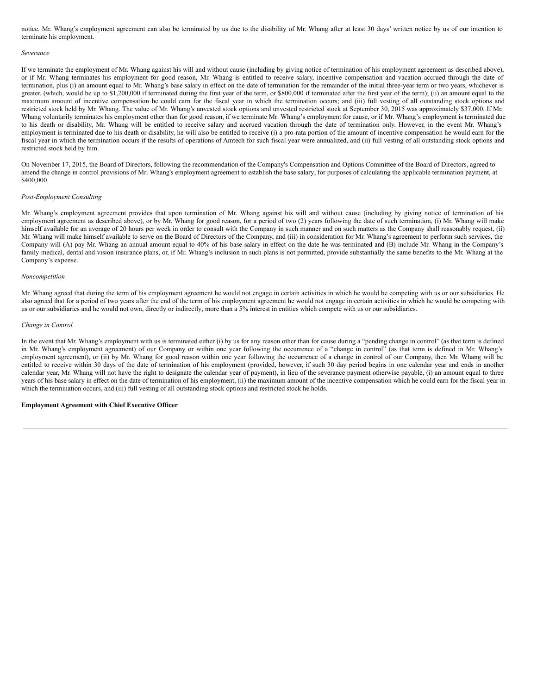notice. Mr. Whang's employment agreement can also be terminated by us due to the disability of Mr. Whang after at least 30 days' written notice by us of our intention to terminate his employment.

#### *Severance*

If we terminate the employment of Mr. Whang against his will and without cause (including by giving notice of termination of his employment agreement as described above), or if Mr. Whang terminates his employment for good reason, Mr. Whang is entitled to receive salary, incentive compensation and vacation accrued through the date of termination, plus (i) an amount equal to Mr. Whang's base salary in effect on the date of termination for the remainder of the initial three-year term or two years, whichever is greater. (which, would be up to \$1,200,000 if terminated during the first year of the term, or \$800,000 if terminated after the first year of the term); (ii) an amount equal to the maximum amount of incentive compensation he could earn for the fiscal year in which the termination occurs; and (iii) full vesting of all outstanding stock options and restricted stock held by Mr. Whang. The value of Mr. Whang's unvested stock options and unvested restricted stock at September 30, 2015 was approximately \$37,000. If Mr. Whang voluntarily terminates his employment other than for good reason, if we terminate Mr. Whang's employment for cause, or if Mr. Whang's employment is terminated due to his death or disability, Mr. Whang will be entitled to receive salary and accrued vacation through the date of termination only. However, in the event Mr. Whang's employment is terminated due to his death or disability, he will also be entitled to receive (i) a pro-rata portion of the amount of incentive compensation he would earn for the fiscal year in which the termination occurs if the results of operations of Amtech for such fiscal year were annualized, and (ii) full vesting of all outstanding stock options and restricted stock held by him.

On November 17, 2015, the Board of Directors, following the recommendation of the Company's Compensation and Options Committee of the Board of Directors, agreed to amend the change in control provisions of Mr. Whang's employment agreement to establish the base salary, for purposes of calculating the applicable termination payment, at \$400,000.

### *Post-Employment Consulting*

Mr. Whang's employment agreement provides that upon termination of Mr. Whang against his will and without cause (including by giving notice of termination of his employment agreement as described above), or by Mr. Whang for good reason, for a period of two (2) years following the date of such termination, (i) Mr. Whang will make himself available for an average of 20 hours per week in order to consult with the Company in such manner and on such matters as the Company shall reasonably request, (ii) Mr. Whang will make himself available to serve on the Board of Directors of the Company, and (iii) in consideration for Mr. Whang's agreement to perform such services, the Company will (A) pay Mr. Whang an annual amount equal to 40% of his base salary in effect on the date he was terminated and (B) include Mr. Whang in the Company's family medical, dental and vision insurance plans, or, if Mr. Whang's inclusion in such plans is not permitted, provide substantially the same benefits to the Mr. Whang at the Company's expense.

#### *Noncompetition*

Mr. Whang agreed that during the term of his employment agreement he would not engage in certain activities in which he would be competing with us or our subsidiaries. He also agreed that for a period of two years after the end of the term of his employment agreement he would not engage in certain activities in which he would be competing with us or our subsidiaries and he would not own, directly or indirectly, more than a 5% interest in entities which compete with us or our subsidiaries.

#### *Change in Control*

In the event that Mr. Whang's employment with us is terminated either (i) by us for any reason other than for cause during a "pending change in control" (as that term is defined in Mr. Whang's employment agreement) of our Company or within one year following the occurrence of a "change in control" (as that term is defined in Mr. Whang's employment agreement), or (ii) by Mr. Whang for good reason within one year following the occurrence of a change in control of our Company, then Mr. Whang will be entitled to receive within 30 days of the date of termination of his employment (provided, however, if such 30 day period begins in one calendar year and ends in another calendar year, Mr. Whang will not have the right to designate the calendar year of payment), in lieu of the severance payment otherwise payable, (i) an amount equal to three years of his base salary in effect on the date of termination of his employment, (ii) the maximum amount of the incentive compensation which he could earn for the fiscal year in which the termination occurs, and (iii) full vesting of all outstanding stock options and restricted stock he holds.

## **Employment Agreement with Chief Executive Officer**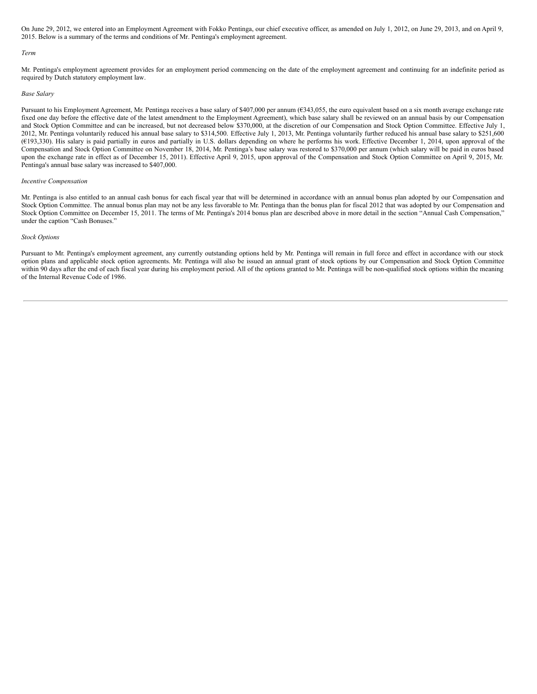On June 29, 2012, we entered into an Employment Agreement with Fokko Pentinga, our chief executive officer, as amended on July 1, 2012, on June 29, 2013, and on April 9, 2015. Below is a summary of the terms and conditions of Mr. Pentinga's employment agreement.

#### *Term*

Mr. Pentinga's employment agreement provides for an employment period commencing on the date of the employment agreement and continuing for an indefinite period as required by Dutch statutory employment law.

#### *Base Salary*

Pursuant to his Employment Agreement, Mr. Pentinga receives a base salary of \$407,000 per annum (€343,055, the euro equivalent based on a six month average exchange rate fixed one day before the effective date of the latest amendment to the Employment Agreement), which base salary shall be reviewed on an annual basis by our Compensation and Stock Option Committee and can be increased, but not decreased below \$370,000, at the discretion of our Compensation and Stock Option Committee. Effective July 1, 2012, Mr. Pentinga voluntarily reduced his annual base salary to \$314,500. Effective July 1, 2013, Mr. Pentinga voluntarily further reduced his annual base salary to \$251,600 (€193,330). His salary is paid partially in euros and partially in U.S. dollars depending on where he performs his work. Effective December 1, 2014, upon approval of the Compensation and Stock Option Committee on November 18, 2014, Mr. Pentinga's base salary was restored to \$370,000 per annum (which salary will be paid in euros based upon the exchange rate in effect as of December 15, 2011). Effective April 9, 2015, upon approval of the Compensation and Stock Option Committee on April 9, 2015, Mr. Pentinga's annual base salary was increased to \$407,000.

#### *Incentive Compensation*

Mr. Pentinga is also entitled to an annual cash bonus for each fiscal year that will be determined in accordance with an annual bonus plan adopted by our Compensation and Stock Option Committee. The annual bonus plan may not be any less favorable to Mr. Pentinga than the bonus plan for fiscal 2012 that was adopted by our Compensation and Stock Option Committee on December 15, 2011. The terms of Mr. Pentinga's 2014 bonus plan are described above in more detail in the section "Annual Cash Compensation," under the caption "Cash Bonuses."

#### *Stock Options*

Pursuant to Mr. Pentinga's employment agreement, any currently outstanding options held by Mr. Pentinga will remain in full force and effect in accordance with our stock option plans and applicable stock option agreements. Mr. Pentinga will also be issued an annual grant of stock options by our Compensation and Stock Option Committee within 90 days after the end of each fiscal year during his employment period. All of the options granted to Mr. Pentinga will be non-qualified stock options within the meaning of the Internal Revenue Code of 1986.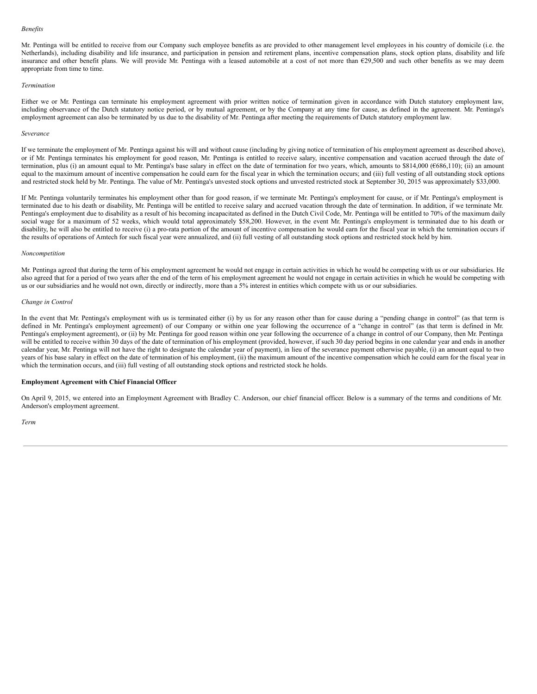#### *Benefits*

Mr. Pentinga will be entitled to receive from our Company such employee benefits as are provided to other management level employees in his country of domicile (i.e. the Netherlands), including disability and life insurance, and participation in pension and retirement plans, incentive compensation plans, stock option plans, disability and life insurance and other benefit plans. We will provide Mr. Pentinga with a leased automobile at a cost of not more than €29,500 and such other benefits as we may deem appropriate from time to time.

## *Termination*

Either we or Mr. Pentinga can terminate his employment agreement with prior written notice of termination given in accordance with Dutch statutory employment law, including observance of the Dutch statutory notice period, or by mutual agreement, or by the Company at any time for cause, as defined in the agreement. Mr. Pentinga's employment agreement can also be terminated by us due to the disability of Mr. Pentinga after meeting the requirements of Dutch statutory employment law.

## *Severance*

If we terminate the employment of Mr. Pentinga against his will and without cause (including by giving notice of termination of his employment agreement as described above), or if Mr. Pentinga terminates his employment for good reason, Mr. Pentinga is entitled to receive salary, incentive compensation and vacation accrued through the date of termination, plus (i) an amount equal to Mr. Pentinga's base salary in effect on the date of termination for two years, which, amounts to \$814,000 (€686,110); (ii) an amount equal to the maximum amount of incentive compensation he could earn for the fiscal year in which the termination occurs; and (iii) full vesting of all outstanding stock options and restricted stock held by Mr. Pentinga. The value of Mr. Pentinga's unvested stock options and unvested restricted stock at September 30, 2015 was approximately \$33,000.

If Mr. Pentinga voluntarily terminates his employment other than for good reason, if we terminate Mr. Pentinga's employment for cause, or if Mr. Pentinga's employment is terminated due to his death or disability, Mr. Pentinga will be entitled to receive salary and accrued vacation through the date of termination. In addition, if we terminate Mr. Pentinga's employment due to disability as a result of his becoming incapacitated as defined in the Dutch Civil Code, Mr. Pentinga will be entitled to 70% of the maximum daily social wage for a maximum of 52 weeks, which would total approximately \$58,200. However, in the event Mr. Pentinga's employment is terminated due to his death or disability, he will also be entitled to receive (i) a pro-rata portion of the amount of incentive compensation he would earn for the fiscal year in which the termination occurs if the results of operations of Amtech for such fiscal year were annualized, and (ii) full vesting of all outstanding stock options and restricted stock held by him.

#### *Noncompetition*

Mr. Pentinga agreed that during the term of his employment agreement he would not engage in certain activities in which he would be competing with us or our subsidiaries. He also agreed that for a period of two years after the end of the term of his employment agreement he would not engage in certain activities in which he would be competing with us or our subsidiaries and he would not own, directly or indirectly, more than a 5% interest in entities which compete with us or our subsidiaries.

## *Change in Control*

In the event that Mr. Pentinga's employment with us is terminated either (i) by us for any reason other than for cause during a "pending change in control" (as that term is defined in Mr. Pentinga's employment agreement) of our Company or within one year following the occurrence of a "change in control" (as that term is defined in Mr. Pentinga's employment agreement), or (ii) by Mr. Pentinga for good reason within one year following the occurrence of a change in control of our Company, then Mr. Pentinga will be entitled to receive within 30 days of the date of termination of his employment (provided, however, if such 30 day period begins in one calendar year and ends in another calendar year, Mr. Pentinga will not have the right to designate the calendar year of payment), in lieu of the severance payment otherwise payable, (i) an amount equal to two years of his base salary in effect on the date of termination of his employment, (ii) the maximum amount of the incentive compensation which he could earn for the fiscal year in which the termination occurs, and (iii) full vesting of all outstanding stock options and restricted stock he holds.

## **Employment Agreement with Chief Financial Officer**

On April 9, 2015, we entered into an Employment Agreement with Bradley C. Anderson, our chief financial officer. Below is a summary of the terms and conditions of Mr. Anderson's employment agreement.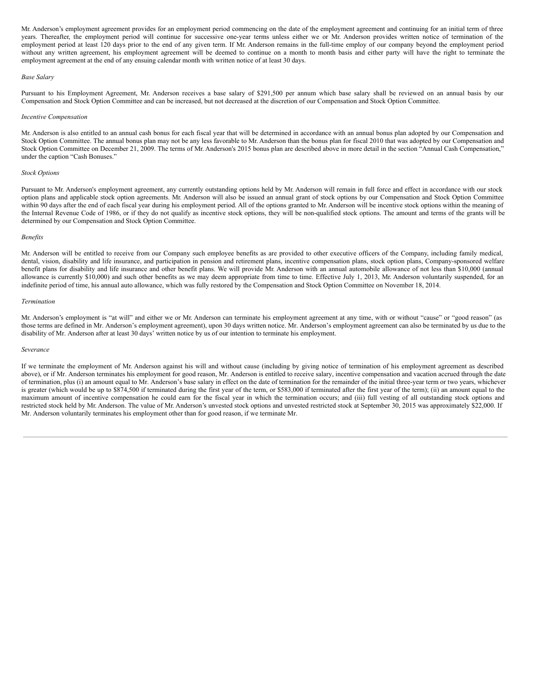Mr. Anderson's employment agreement provides for an employment period commencing on the date of the employment agreement and continuing for an initial term of three years. Thereafter, the employment period will continue for successive one-year terms unless either we or Mr. Anderson provides written notice of termination of the employment period at least 120 days prior to the end of any given term. If Mr. Anderson remains in the full-time employ of our company beyond the employment period without any written agreement, his employment agreement will be deemed to continue on a month to month basis and either party will have the right to terminate the employment agreement at the end of any ensuing calendar month with written notice of at least 30 days.

#### *Base Salary*

Pursuant to his Employment Agreement, Mr. Anderson receives a base salary of \$291,500 per annum which base salary shall be reviewed on an annual basis by our Compensation and Stock Option Committee and can be increased, but not decreased at the discretion of our Compensation and Stock Option Committee.

#### *Incentive Compensation*

Mr. Anderson is also entitled to an annual cash bonus for each fiscal year that will be determined in accordance with an annual bonus plan adopted by our Compensation and Stock Option Committee. The annual bonus plan may not be any less favorable to Mr. Anderson than the bonus plan for fiscal 2010 that was adopted by our Compensation and Stock Option Committee on December 21, 2009. The terms of Mr. Anderson's 2015 bonus plan are described above in more detail in the section "Annual Cash Compensation," under the caption "Cash Bonuses."

## *Stock Options*

Pursuant to Mr. Anderson's employment agreement, any currently outstanding options held by Mr. Anderson will remain in full force and effect in accordance with our stock option plans and applicable stock option agreements. Mr. Anderson will also be issued an annual grant of stock options by our Compensation and Stock Option Committee within 90 days after the end of each fiscal year during his employment period. All of the options granted to Mr. Anderson will be incentive stock options within the meaning of the Internal Revenue Code of 1986, or if they do not qualify as incentive stock options, they will be non-qualified stock options. The amount and terms of the grants will be determined by our Compensation and Stock Option Committee.

#### *Benefits*

Mr. Anderson will be entitled to receive from our Company such employee benefits as are provided to other executive officers of the Company, including family medical, dental, vision, disability and life insurance, and participation in pension and retirement plans, incentive compensation plans, stock option plans, Company-sponsored welfare benefit plans for disability and life insurance and other benefit plans. We will provide Mr. Anderson with an annual automobile allowance of not less than \$10,000 (annual allowance is currently \$10,000) and such other benefits as we may deem appropriate from time to time. Effective July 1, 2013, Mr. Anderson voluntarily suspended, for an indefinite period of time, his annual auto allowance, which was fully restored by the Compensation and Stock Option Committee on November 18, 2014.

#### *Termination*

Mr. Anderson's employment is "at will" and either we or Mr. Anderson can terminate his employment agreement at any time, with or without "cause" or "good reason" (as those terms are defined in Mr. Anderson's employment agreement), upon 30 days written notice. Mr. Anderson's employment agreement can also be terminated by us due to the disability of Mr. Anderson after at least 30 days' written notice by us of our intention to terminate his employment.

#### *Severance*

If we terminate the employment of Mr. Anderson against his will and without cause (including by giving notice of termination of his employment agreement as described above), or if Mr. Anderson terminates his employment for good reason, Mr. Anderson is entitled to receive salary, incentive compensation and vacation accrued through the date of termination, plus (i) an amount equal to Mr. Anderson's base salary in effect on the date of termination for the remainder of the initial three-year term or two years, whichever is greater (which would be up to \$874,500 if terminated during the first year of the term, or \$583,000 if terminated after the first year of the term); (ii) an amount equal to the maximum amount of incentive compensation he could earn for the fiscal year in which the termination occurs; and (iii) full vesting of all outstanding stock options and restricted stock held by Mr. Anderson. The value of Mr. Anderson's unvested stock options and unvested restricted stock at September 30, 2015 was approximately \$22,000. If Mr. Anderson voluntarily terminates his employment other than for good reason, if we terminate Mr.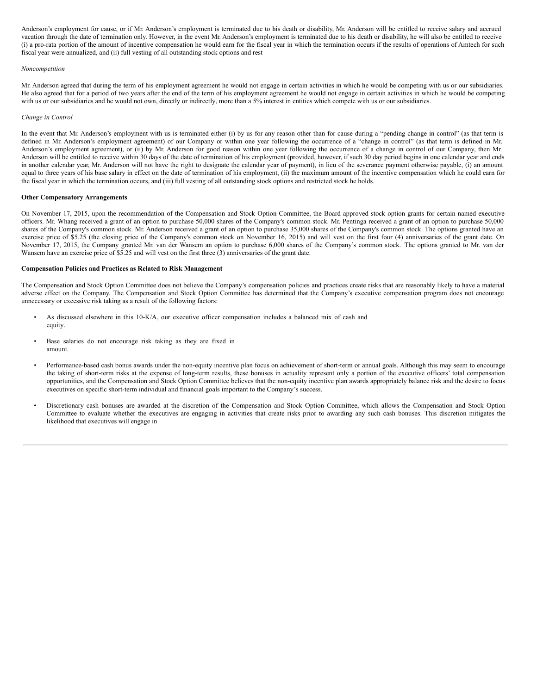Anderson's employment for cause, or if Mr. Anderson's employment is terminated due to his death or disability, Mr. Anderson will be entitled to receive salary and accrued vacation through the date of termination only. However, in the event Mr. Anderson's employment is terminated due to his death or disability, he will also be entitled to receive (i) a pro-rata portion of the amount of incentive compensation he would earn for the fiscal year in which the termination occurs if the results of operations of Amtech for such fiscal year were annualized, and (ii) full vesting of all outstanding stock options and rest

#### *Noncompetition*

Mr. Anderson agreed that during the term of his employment agreement he would not engage in certain activities in which he would be competing with us or our subsidiaries. He also agreed that for a period of two years after the end of the term of his employment agreement he would not engage in certain activities in which he would be competing with us or our subsidiaries and he would not own, directly or indirectly, more than a 5% interest in entities which compete with us or our subsidiaries.

#### *Change in Control*

In the event that Mr. Anderson's employment with us is terminated either (i) by us for any reason other than for cause during a "pending change in control" (as that term is defined in Mr. Anderson's employment agreement) of our Company or within one year following the occurrence of a "change in control" (as that term is defined in Mr. Anderson's employment agreement), or (ii) by Mr. Anderson for good reason within one year following the occurrence of a change in control of our Company, then Mr. Anderson will be entitled to receive within 30 days of the date of termination of his employment (provided, however, if such 30 day period begins in one calendar year and ends in another calendar year, Mr. Anderson will not have the right to designate the calendar year of payment), in lieu of the severance payment otherwise payable, (i) an amount equal to three years of his base salary in effect on the date of termination of his employment, (ii) the maximum amount of the incentive compensation which he could earn for the fiscal year in which the termination occurs, and (iii) full vesting of all outstanding stock options and restricted stock he holds.

#### **Other Compensatory Arrangements**

On November 17, 2015, upon the recommendation of the Compensation and Stock Option Committee, the Board approved stock option grants for certain named executive officers. Mr. Whang received a grant of an option to purchase 50,000 shares of the Company's common stock. Mr. Pentinga received a grant of an option to purchase 50,000 shares of the Company's common stock. Mr. Anderson received a grant of an option to purchase 35,000 shares of the Company's common stock. The options granted have an exercise price of \$5.25 (the closing price of the Company's common stock on November 16, 2015) and will vest on the first four (4) anniversaries of the grant date. On November 17, 2015, the Company granted Mr. van der Wansem an option to purchase 6,000 shares of the Company's common stock. The options granted to Mr. van der Wansem have an exercise price of \$5.25 and will vest on the first three (3) anniversaries of the grant date.

## **Compensation Policies and Practices as Related to Risk Management**

The Compensation and Stock Option Committee does not believe the Company's compensation policies and practices create risks that are reasonably likely to have a material adverse effect on the Company. The Compensation and Stock Option Committee has determined that the Company's executive compensation program does not encourage unnecessary or excessive risk taking as a result of the following factors:

- As discussed elsewhere in this 10-K/A, our executive officer compensation includes a balanced mix of cash and equity.
- Base salaries do not encourage risk taking as they are fixed in amount.
- Performance-based cash bonus awards under the non-equity incentive plan focus on achievement of short-term or annual goals. Although this may seem to encourage the taking of short-term risks at the expense of long-term results, these bonuses in actuality represent only a portion of the executive officers' total compensation opportunities, and the Compensation and Stock Option Committee believes that the non-equity incentive plan awards appropriately balance risk and the desire to focus executives on specific short-term individual and financial goals important to the Company's success.
- Discretionary cash bonuses are awarded at the discretion of the Compensation and Stock Option Committee, which allows the Compensation and Stock Option Committee to evaluate whether the executives are engaging in activities that create risks prior to awarding any such cash bonuses. This discretion mitigates the likelihood that executives will engage in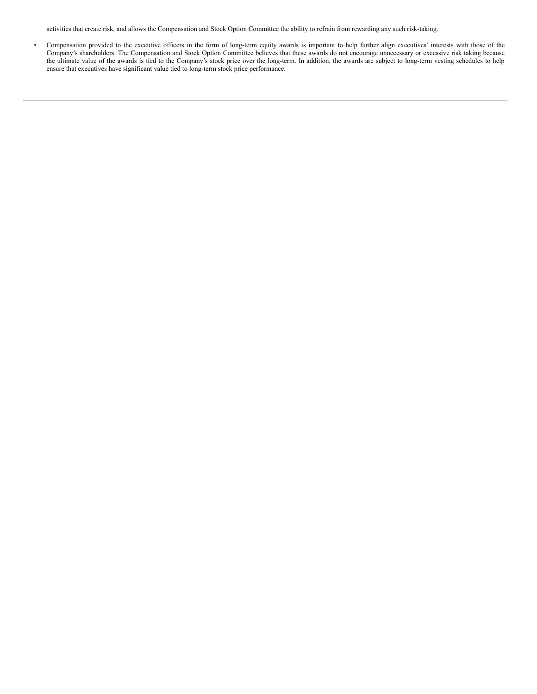activities that create risk, and allows the Compensation and Stock Option Committee the ability to refrain from rewarding any such risk-taking.

• Compensation provided to the executive officers in the form of long-term equity awards is important to help further align executives' interests with those of the Company's shareholders. The Compensation and Stock Option Committee believes that these awards do not encourage unnecessary or excessive risk taking because the ultimate value of the awards is tied to the Company's stock price over the long-term. In addition, the awards are subject to long-term vesting schedules to help ensure that executives have significant value tied to long-term stock price performance.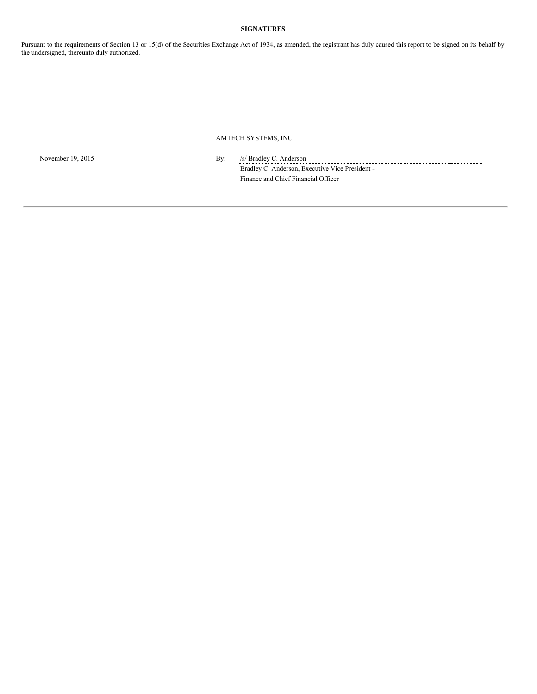## **SIGNATURES**

Pursuant to the requirements of Section 13 or 15(d) of the Securities Exchange Act of 1934, as amended, the registrant has duly caused this report to be signed on its behalf by the undersigned, thereunto duly authorized.

AMTECH SYSTEMS, INC.

November 19, 2015 **By:** /s/ Bradley C. Anderson Bradley C. Anderson, Executive Vice President - Finance and Chief Financial Officer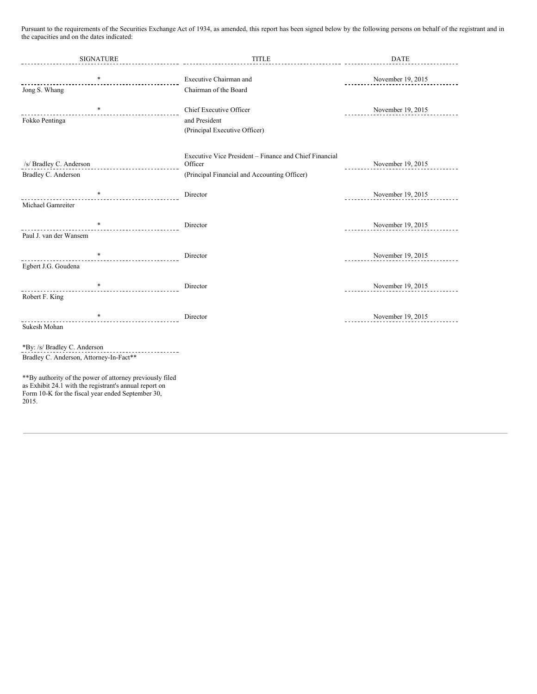Pursuant to the requirements of the Securities Exchange Act of 1934, as amended, this report has been signed below by the following persons on behalf of the registrant and in the capacities and on the dates indicated:

| <b>SIGNATURE</b>                                           | <b>TITLE</b>                                           | <b>DATE</b>       |
|------------------------------------------------------------|--------------------------------------------------------|-------------------|
| *                                                          | Executive Chairman and                                 | November 19, 2015 |
| Jong S. Whang                                              | Chairman of the Board                                  |                   |
|                                                            |                                                        |                   |
| *                                                          | Chief Executive Officer                                | November 19, 2015 |
| Fokko Pentinga                                             | and President                                          |                   |
|                                                            | (Principal Executive Officer)                          |                   |
|                                                            |                                                        |                   |
|                                                            | Executive Vice President – Finance and Chief Financial |                   |
| /s/ Bradley C. Anderson                                    | Officer                                                | November 19, 2015 |
| Bradley C. Anderson                                        | (Principal Financial and Accounting Officer)           |                   |
| *                                                          | Director                                               | November 19, 2015 |
| Michael Garnreiter                                         |                                                        |                   |
|                                                            |                                                        |                   |
|                                                            | Director                                               | November 19, 2015 |
| Paul J. van der Wansem                                     |                                                        |                   |
|                                                            |                                                        |                   |
|                                                            | Director                                               | November 19, 2015 |
| Egbert J.G. Goudena                                        |                                                        |                   |
|                                                            |                                                        |                   |
| $\ast$                                                     | Director                                               | November 19, 2015 |
| Robert F. King                                             |                                                        |                   |
| *                                                          |                                                        |                   |
| Sukesh Mohan                                               | Director                                               | November 19, 2015 |
|                                                            |                                                        |                   |
| *By: /s/ Bradley C. Anderson                               |                                                        |                   |
| ---------------<br>Bradley C. Anderson, Attorney-In-Fact** |                                                        |                   |
|                                                            |                                                        |                   |
| ** By authority of the power of attorney previously filed  |                                                        |                   |
| as Exhibit 24.1 with the registrant's annual report on     |                                                        |                   |
| Form 10-K for the fiscal year ended September 30,<br>2015. |                                                        |                   |
|                                                            |                                                        |                   |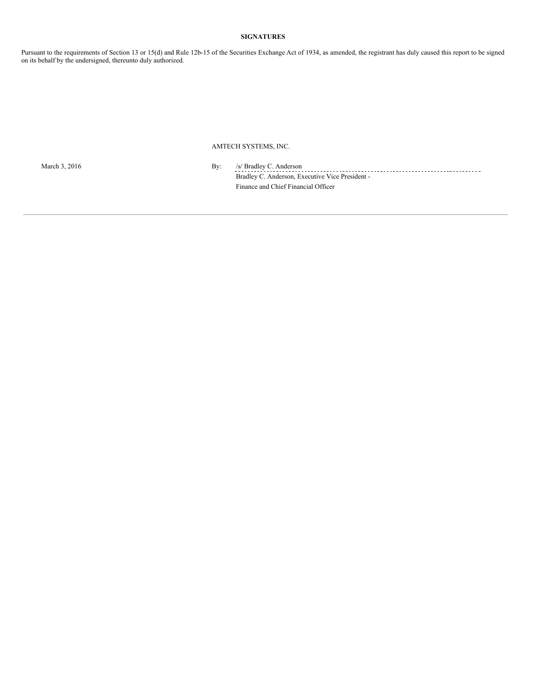## **SIGNATURES**

Pursuant to the requirements of Section 13 or 15(d) and Rule 12b-15 of the Securities Exchange Act of 1934, as amended, the registrant has duly caused this report to be signed on its behalf by the undersigned, thereunto duly authorized.

## AMTECH SYSTEMS, INC.

March 3, 2016 **By:** /s/ Bradley C. Anderson Bradley C. Anderson, Executive Vice President - Finance and Chief Financial Officer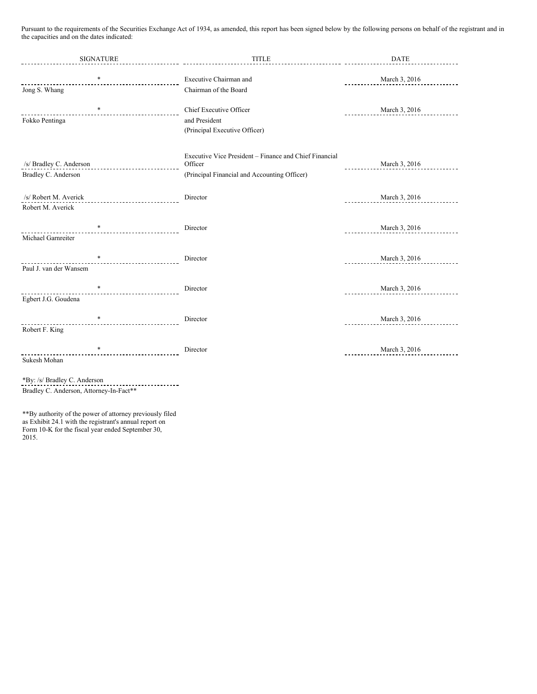Pursuant to the requirements of the Securities Exchange Act of 1934, as amended, this report has been signed below by the following persons on behalf of the registrant and in the capacities and on the dates indicated:

| <b>SIGNATURE</b>                                                                          | <b>TITLE</b>                                                                                                      | <b>DATE</b>   |
|-------------------------------------------------------------------------------------------|-------------------------------------------------------------------------------------------------------------------|---------------|
| $\ast$<br>Jong S. Whang                                                                   | Executive Chairman and<br>Chairman of the Board                                                                   | March 3, 2016 |
| $\ast$<br>Fokko Pentinga                                                                  | Chief Executive Officer<br>and President<br>(Principal Executive Officer)                                         | March 3, 2016 |
| /s/ Bradley C. Anderson<br>Bradley C. Anderson                                            | Executive Vice President – Finance and Chief Financial<br>Officer<br>(Principal Financial and Accounting Officer) | March 3, 2016 |
| /s/ Robert M. Averick<br>Robert M. Averick                                                | Director                                                                                                          | March 3, 2016 |
| $\ast$<br>Michael Garnreiter                                                              | Director                                                                                                          | March 3, 2016 |
| *<br>Paul J. van der Wansem                                                               | Director                                                                                                          | March 3, 2016 |
| $\ast$<br>Egbert J.G. Goudena                                                             | Director                                                                                                          | March 3, 2016 |
| $\ast$<br>Robert F. King                                                                  | Director                                                                                                          | March 3, 2016 |
| $\ast$<br>Sukesh Mohan                                                                    | Director                                                                                                          | March 3, 2016 |
| *By: /s/ Bradley C. Anderson<br>--------------<br>Bradley C. Anderson, Attorney-In-Fact** |                                                                                                                   |               |

\*\*By authority of the power of attorney previously filed as Exhibit 24.1 with the registrant's annual report on Form 10-K for the fiscal year ended September 30, 2015.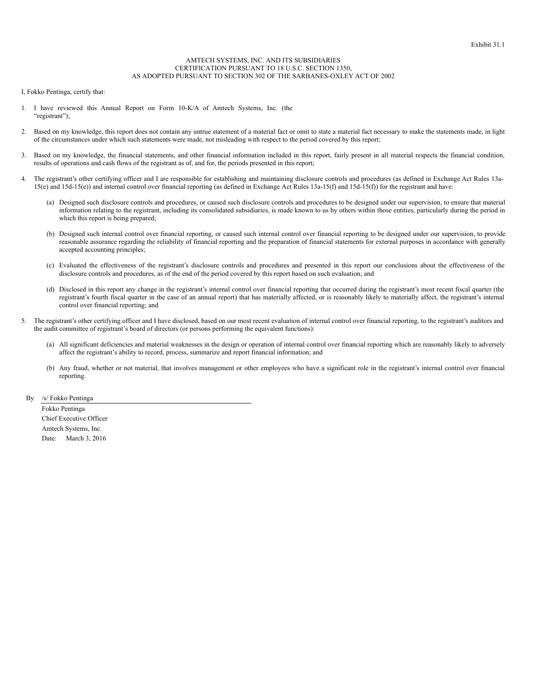#### AMTECH SYSTEMS, INC. AND ITS SUBSIDIARIES CERTIFICATION PURSUANT TO 18 U.S.C. SECTION 1350, AS ADOPTED PURSUANT TO SECTION 302 OF THE SARBANES-OXLEY ACT OF 2002

I, Fokko Pentinga, certify that:

- 1. I have reviewed this Annual Report on Form 10-K/A of Amtech Systems, Inc. (the "registrant");
- Based on my knowledge, this report does not contain any untrue statement of a material fact or omit to state a material fact necessary to make the statements made, in light of the circumstances under which such statements were made, not misleading with respect to the period covered by this report;
- 3. Based on my knowledge, the financial statements, and other financial information included in this report, fairly present in all material respects the financial condition, results of operations and cash flows of the registrant as of, and for, the periods presented in this report;
- 4. The registrant's other certifying officer and I are responsible for establishing and maintaining disclosure controls and procedures (as defined in Exchange Act Rules 13a-15(e) and 15d-15(e)) and internal control over financial reporting (as defined in Exchange Act Rules 13a-15(f) and 15d-15(f)) for the registrant and have:
	- (a) Designed such disclosure controls and procedures, or caused such disclosure controls and procedures to be designed under our supervision, to ensure that material information relating to the registrant, including its consolidated subsidiaries, is made known to us by others within those entities, particularly during the period in which this report is being prepared;
	- (b) Designed such internal control over financial reporting, or caused such internal control over financial reporting to be designed under our supervision, to provide reasonable assurance regarding the reliability of financial reporting and the preparation of financial statements for external purposes in accordance with generally accepted accounting principles;
	- (c) Evaluated the effectiveness of the registrant's disclosure controls and procedures and presented in this report our conclusions about the effectiveness of the disclosure controls and procedures, as of the end of the period covered by this report based on such evaluation; and
	- (d) Disclosed in this report any change in the registrant's internal control over financial reporting that occurred during the registrant's most recent fiscal quarter (the registrant's fourth fiscal quarter in the case of an annual report) that has materially affected, or is reasonably likely to materially affect, the registrant's internal control over financial reporting; and
- 5. The registrant's other certifying officer and I have disclosed, based on our most recent evaluation of internal control over financial reporting, to the registrant's auditors and the audit committee of registrant's board of directors (or persons performing the equivalent functions):
	- (a) All significant deficiencies and material weaknesses in the design or operation of internal control over financial reporting which are reasonably likely to adversely affect the registrant's ability to record, process, summarize and report financial information; and
	- (b) Any fraud, whether or not material, that involves management or other employees who have a significant role in the registrant's internal control over financial reporting.

By /s/ Fokko Pentinga

Fokko Pentinga Chief Executive Officer Amtech Systems, Inc. Date: March 3, 2016